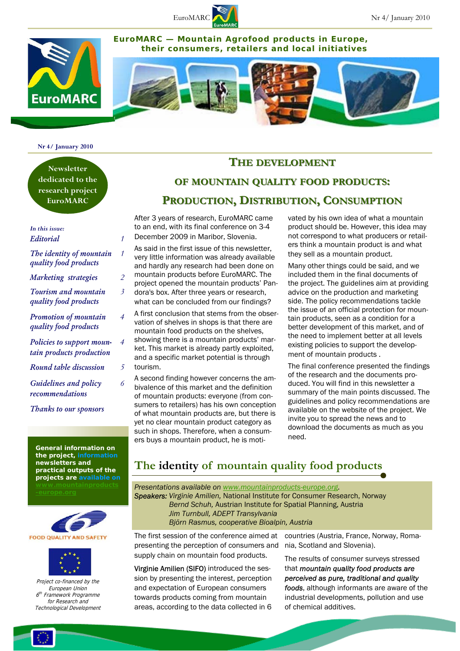**EuroMARC — Mountain Agrofood products in Europe, their consumers, retailers and local initiatives** 





**Nr 4/ January 2010** 

**Newsletter dedicated to the research project EuroMARC** 

| In this issue:                                        |   |
|-------------------------------------------------------|---|
| Editorial                                             | 1 |
| The identity of mountain<br>quality food products     | 1 |
| Marketing strategies                                  | 2 |
| Tourism and mountain<br>quality food products         | 3 |
| Promotion of mountain<br>quality food products        | 4 |
| Policies to support moun-<br>tain products production | 4 |
| Round table discussion                                | 5 |
| Guidelines and policy<br>recommendations              | 6 |
| Thanks to our sponsors                                |   |

*General information on the project, information newsletters and practical outputs of the projects are available on* 





Project co-financed by the European Union 6 <sup>th</sup> Framework Programme for Research and Technological Development

# **THE DEVELOPMENT DEVELOPMENT OF MOUNTAIN QUALITY FOOD PRODUCTS: PRODUCTION RODUCTION, DISTRIBUTION ISTRIBUTION, CONSUMPTION ONSUMPTION**

After 3 years of research, EuroMARC came to an end, with its final conference on 3-4 December 2009 in Maribor, Slovenia.

As said in the first issue of this newsletter, very little information was already available and hardly any research had been done on mountain products before EuroMARC. The project opened the mountain products' Pandora's box. After three years or research, what can be concluded from our findings?

A first conclusion that stems from the observation of shelves in shops is that there are mountain food products on the shelves, showing there is a mountain products' market. This market is already partly exploited, and a specific market potential is through tourism.

A second finding however concerns the ambivalence of this market and the definition of mountain products: everyone (from consumers to retailers) has his own conception of what mountain products are, but there is yet no clear mountain product category as such in shops. Therefore, when a consumers buys a mountain product, he is moti-

vated by his own idea of what a mountain product should be. However, this idea may not correspond to what producers or retailers think a mountain product is and what they sell as a mountain product.

Many other things could be said, and we included them in the final documents of the project. The guidelines aim at providing advice on the production and marketing side. The policy recommendations tackle the issue of an official protection for mountain products, seen as a condition for a better development of this market, and of the need to implement better at all levels existing policies to support the development of mountain products .

The final conference presented the findings of the research and the documents produced. You will find in this newsletter a summary of the main points discussed. The guidelines and policy recommendations are available on the website of the project. We invite you to spread the news and to download the documents as much as you need.

### **The identity of mountain quality food products**

*Presentations available on www.mountainproducts-europe.org. Speakers: Virginie Amilien,* National Institute for Consumer Research, Norway *Bernd Schuh,* Austrian Institute for Spatial Planning, Austria *Jim Turnbull, ADEPT Transylvania Björn Rasmus, cooperative Bioalpin, Austria* 

The first session of the conference aimed at presenting the perception of consumers and nia, Scotland and Slovenia). supply chain on mountain food products.

Virginie Amilien (SIFO) introduced the session by presenting the interest, perception and expectation of European consumers towards products coming from mountain areas, according to the data collected in 6 countries (Austria, France, Norway, Roma-

The results of consumer surveys stressed that *mountain quality food products are perceived as pure, traditional and quality foods*, although informants are aware of the industrial developments, pollution and use of chemical additives.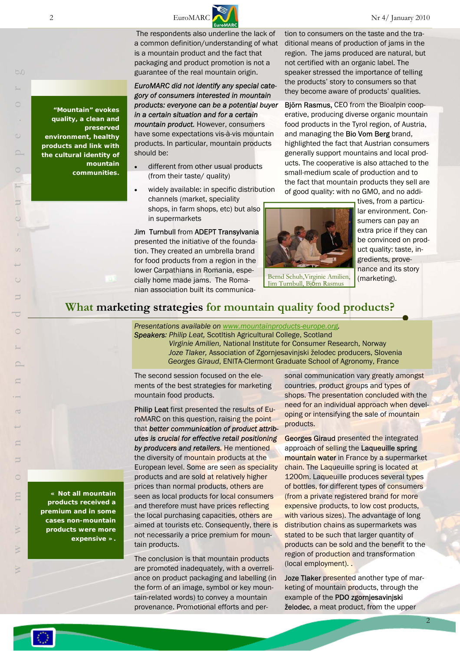

 The respondents also underline the lack of a common definition/understanding of what is a mountain product and the fact that packaging and product promotion is not a guarantee of the real mountain origin.

*EuroMARC did not identify any special category of consumers interested in mountain products: everyone can be a potential buyer in a certain situation and for a certain mountain product.* However, consumers have some expectations vis-à-vis mountain products. In particular, mountain products should be:

- different from other usual products (from their taste/ quality)
- widely available: in specific distribution channels (market, speciality shops, in farm shops, etc) but also in supermarkets

Jim Turnbull from ADEPT Transylvania presented the initiative of the foundation. They created an umbrella brand for food products from a region in the lower Carpathians in Romania, especially home made jams. The Romanian association built its communica-

tion to consumers on the taste and the traditional means of production of jams in the region. The jams produced are natural, but not certified with an organic label. The speaker stressed the importance of telling the products' story to consumers so that they become aware of products' qualities.

Björn Rasmus, CEO from the Bioalpin cooperative, producing diverse organic mountain food products in the Tyrol region, of Austria, and managing the Bio Vom Berg brand, highlighted the fact that Austrian consumers generally support mountains and local products. The cooperative is also attached to the small-medium scale of production and to the fact that mountain products they sell are of good quality: with no GMO, and no addi-



Bernd Schuh,Virginie Amilien, Jim Turnbull, Björn Rasmus

tives, from a particular environment. Consumers can pay an extra price if they can be convinced on product quality: taste, ingredients, provenance and its story (marketing).

#### **What marketing strategies for mountain quality food products?**

*Presentations available on www.mountainproducts-europe.org.* 

*Speakers: Philip Leat,* Scotltish Agricultural College, Scotland

*Virginie Amilien,* National Institute for Consumer Research, Norway *Joze Tlaker,* Association of Zgornjesavinjski želodec producers, Slovenia  *Georges Giraud*, ENITA-Clermont Graduate School of Agronomy, France

The second session focused on the elements of the best strategies for marketing mountain food products.

Philip Leat first presented the results of EuroMARC on this question, raising the point that *better communication of product attributes is crucial for effective retail positioning by producers and retailers.* He mentioned the diversity of mountain products at the European level. Some are seen as speciality products and are sold at relatively higher prices than normal products, others are seen as local products for local consumers and therefore must have prices reflecting the local purchasing capacities, others are aimed at tourists etc. Consequently, there is not necessarily a price premium for mountain products.

The conclusion is that mountain products are promoted inadequately, with a overreliance on product packaging and labelling (in the form of an image, symbol or key mountain-related words) to convey a mountain provenance. Promotional efforts and personal communication vary greatly amongst countries, product groups and types of shops. The presentation concluded with the need for an individual approach when developing or intensifying the sale of mountain products.

Georges Giraud presented the integrated approach of selling the Laqueuille spring mountain water in France by a supermarket chain. The Laqueuille spring is located at 1200m. Laqueuille produces several types of bottles, for different types of consumers (from a private registered brand for more expensive products, to low cost products, with various sizes). The advantage of long distribution chains as supermarkets was stated to be such that larger quantity of products can be sold and the benefit to the region of production and transformation (local employment). .

Joze Tlaker presented another type of marketing of mountain products, through the example of the PDO zgornjesavinjski želodec, a meat product, from the upper

*"Mountain" evokes quality, a clean and preserved environment, healthy products and link with the cultural identity of mountain communities.*

 $b$ 

*« Not all mountain products received a premium and in some cases non-mountain products were more expensive ».*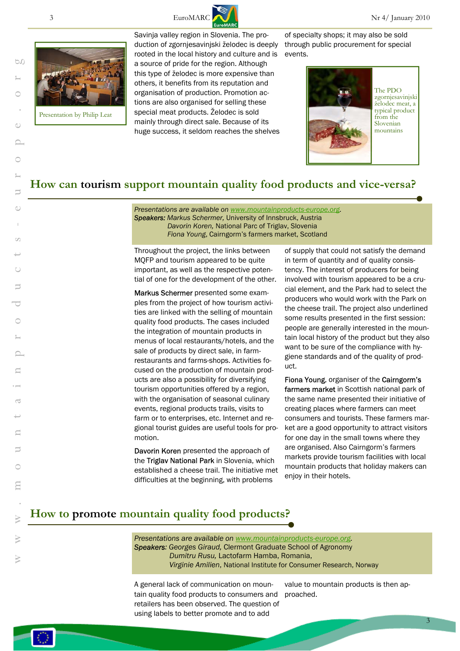





Savinja valley region in Slovenia. The production of zgornjesavinjski želodec is deeply rooted in the local history and culture and is a source of pride for the region. Although this type of želodec is more expensive than others, it benefits from its reputation and organisation of production. Promotion actions are also organised for selling these special meat products. Želodec is sold mainly through direct sale. Because of its huge success, it seldom reaches the shelves

of specialty shops; it may also be sold through public procurement for special events.



## **How can tourism support mountain quality food products and vice-versa?**

*Presentations are available on www.mountainproducts-europe.org. Speakers: Markus Schermer,* University of Innsbruck, Austria  *Davorin Koren,* National Parc of Triglav, Slovenia *Fiona Young*, Cairngorm's farmers market, Scotland

Throughout the project, the links between MQFP and tourism appeared to be quite important, as well as the respective potential of one for the development of the other.

Markus Schermer presented some examples from the project of how tourism activities are linked with the selling of mountain quality food products. The cases included the integration of mountain products in menus of local restaurants/hotels, and the sale of products by direct sale, in farmrestaurants and farms-shops. Activities focused on the production of mountain products are also a possibility for diversifying tourism opportunities offered by a region, with the organisation of seasonal culinary events, regional products trails, visits to farm or to enterprises, etc. Internet and regional tourist guides are useful tools for promotion.

Davorin Koren presented the approach of the Triglav National Park in Slovenia, which established a cheese trail. The initiative met difficulties at the beginning, with problems

of supply that could not satisfy the demand in term of quantity and of quality consistency. The interest of producers for being involved with tourism appeared to be a crucial element, and the Park had to select the producers who would work with the Park on the cheese trail. The project also underlined some results presented in the first session: people are generally interested in the mountain local history of the product but they also want to be sure of the compliance with hygiene standards and of the quality of product.

Fiona Young, organiser of the Cairngorm's farmers market in Scottish national park of the same name presented their initiative of creating places where farmers can meet consumers and tourists. These farmers market are a good opportunity to attract visitors for one day in the small towns where they are organised. Also Cairngorm's farmers markets provide tourism facilities with local mountain products that holiday makers can enjoy in their hotels.

**How to promote mountain quality food products?** 

*Presentations are available on www.mountainproducts-europe.org. Speakers: Georges Giraud,* Clermont Graduate School of Agronomy *Dumitru Rusu,* Lactofarm Hamba, Romania, *Virginie Amilien*, National Institute for Consumer Research, Norway

A general lack of communication on mountain quality food products to consumers and retailers has been observed. The question of using labels to better promote and to add

value to mountain products is then approached.

3

w w w. m o u n t a i n p ro d u c t s - e u r o p e. o r g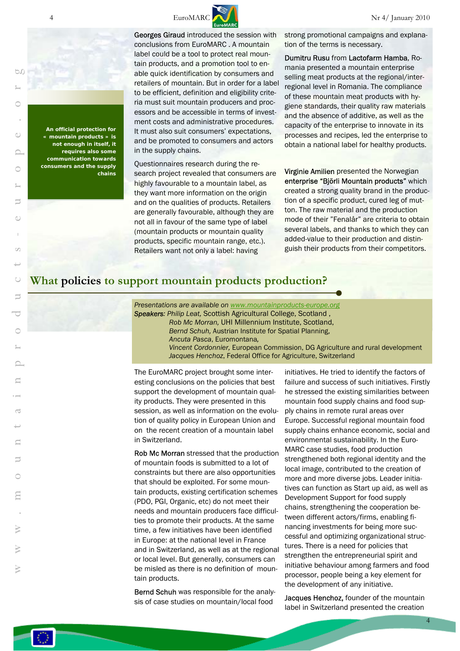*An official protection for « mountain products » is not enough in itself, it requires also some communication towards consumers and the supply chains* 



Georges Giraud introduced the session with conclusions from EuroMARC . A mountain label could be a tool to protect real mountain products, and a promotion tool to enable quick identification by consumers and retailers of mountain. But in order for a label to be efficient, definition and eligibility criteria must suit mountain producers and processors and be accessible in terms of investment costs and administrative procedures. It must also suit consumers' expectations, and be promoted to consumers and actors in the supply chains.

Questionnaires research during the research project revealed that consumers are highly favourable to a mountain label, as they want more information on the origin and on the qualities of products. Retailers are generally favourable, although they are not all in favour of the same type of label (mountain products or mountain quality products, specific mountain range, etc.). Retailers want not only a label: having

strong promotional campaigns and explanation of the terms is necessary.

Dumitru Rusu from Lactofarm Hamba, Romania presented a mountain enterprise selling meat products at the regional/interregional level in Romania. The compliance of these mountain meat products with hygiene standards, their quality raw materials and the absence of additive, as well as the capacity of the enterprise to innovate in its processes and recipes, led the enterprise to obtain a national label for healthy products.

Virginie Amilien presented the Norwegian enterprise "Björli Mountain products" which created a strong quality brand in the production of a specific product, cured leg of mutton. The raw material and the production mode of their "Fenalår" are criteria to obtain several labels, and thanks to which they can added-value to their production and distinguish their products from their competitors.

#### **What policies to support mountain products production?**

*Presentations are available on www.mountainproducts-europe.org Speakers: Philip Leat,* Scottish Agricultural College, Scotland ,

*Rob Mc Morran,* UHI Millennium Institute, Scotland, *Bernd Schuh,* Austrian Institute for Spatial Planning, *Ancuta Pasca*, Euromontana*,* 

*Vincent Cordonnier,* European Commission, DG Agriculture and rural development *Jacques Henchoz*, Federal Office for Agriculture, Switzerland

The EuroMARC project brought some interesting conclusions on the policies that best support the development of mountain quality products. They were presented in this session, as well as information on the evolution of quality policy in European Union and on the recent creation of a mountain label in Switzerland.

Rob Mc Morran stressed that the production of mountain foods is submitted to a lot of constraints but there are also opportunities that should be exploited. For some mountain products, existing certification schemes (PDO, PGI, Organic, etc) do not meet their needs and mountain producers face difficulties to promote their products. At the same time, a few initiatives have been identified in Europe: at the national level in France and in Switzerland, as well as at the regional or local level. But generally, consumers can be misled as there is no definition of mountain products.

Bernd Schuh was responsible for the analysis of case studies on mountain/local food

initiatives. He tried to identify the factors of failure and success of such initiatives. Firstly he stressed the existing similarities between mountain food supply chains and food supply chains in remote rural areas over Europe. Successful regional mountain food supply chains enhance economic, social and environmental sustainability. In the Euro-MARC case studies, food production strengthened both regional identity and the local image, contributed to the creation of more and more diverse jobs. Leader initiatives can function as Start up aid, as well as Development Support for food supply chains, strengthening the cooperation between different actors/firms, enabling financing investments for being more successful and optimizing organizational structures. There is a need for policies that strengthen the entrepreneurial spirit and initiative behaviour among farmers and food processor, people being a key element for the development of any initiative.

Jacques Henchoz, founder of the mountain label in Switzerland presented the creation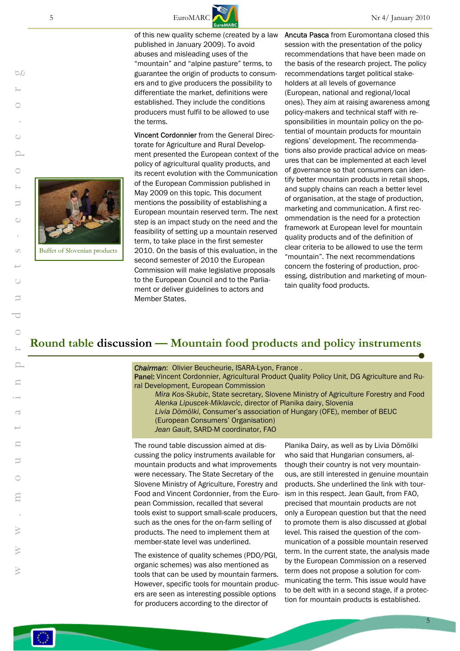

of this new quality scheme (created by a law published in January 2009). To avoid abuses and misleading uses of the "mountain" and "alpine pasture" terms, to guarantee the origin of products to consumers and to give producers the possibility to differentiate the market, definitions were established. They include the conditions producers must fulfil to be allowed to use the terms.

Vincent Cordonnier from the General Directorate for Agriculture and Rural Development presented the European context of the policy of agricultural quality products, and its recent evolution with the Communication of the European Commission published in May 2009 on this topic. This document mentions the possibility of establishing a European mountain reserved term. The next step is an impact study on the need and the feasibility of setting up a mountain reserved term, to take place in the first semester 2010. On the basis of this evaluation, in the second semester of 2010 the European Commission will make legislative proposals to the European Council and to the Parliament or deliver guidelines to actors and Member States.

Ancuta Pasca from Euromontana closed this session with the presentation of the policy recommendations that have been made on the basis of the research project. The policy recommendations target political stakeholders at all levels of governance (European, national and regional/local ones). They aim at raising awareness among policy-makers and technical staff with responsibilities in mountain policy on the potential of mountain products for mountain regions' development. The recommendations also provide practical advice on measures that can be implemented at each level of governance so that consumers can identify better mountain products in retail shops, and supply chains can reach a better level of organisation, at the stage of production, marketing and communication. A first recommendation is the need for a protection framework at European level for mountain quality products and of the definition of clear criteria to be allowed to use the term "mountain". The next recommendations concern the fostering of production, processing, distribution and marketing of mountain quality food products.



### **Round table discussion — Mountain food products and policy instruments**

*Chairman*: Olivier Beucheurie, ISARA-Lyon, France .

Panel: Vincent Cordonnier, Agricultural Product Quality Policy Unit, DG Agriculture and Rural Development, European Commission

*Mira Kos-Skubic*, State secretary, Slovene Ministry of Agriculture Forestry and Food *Alenka Lipuscek-Miklavcic*, director of Planika dairy, Slovenia

*Livia Dömölki*, Consumer's association of Hungary (OFE), member of BEUC (European Consumers' Organisation)

*Jean Gault*, SARD-M coordinator, FAO

The round table discussion aimed at discussing the policy instruments available for mountain products and what improvements were necessary. The State Secretary of the Slovene Ministry of Agriculture, Forestry and Food and Vincent Cordonnier, from the European Commission, recalled that several tools exist to support small-scale producers, such as the ones for the on-farm selling of products. The need to implement them at member-state level was underlined.

The existence of quality schemes (PDO/PGI, organic schemes) was also mentioned as tools that can be used by mountain farmers. However, specific tools for mountain producers are seen as interesting possible options for producers according to the director of

Planika Dairy, as well as by Livia Dömölki who said that Hungarian consumers, although their country is not very mountainous, are still interested in genuine mountain products. She underlined the link with tourism in this respect. Jean Gault, from FAO, precised that mountain products are not only a European question but that the need to promote them is also discussed at global level. This raised the question of the communication of a possible mountain reserved term. In the current state, the analysis made by the European Commission on a reserved term does not propose a solution for communicating the term. This issue would have to be delt with in a second stage, if a protection for mountain products is established.